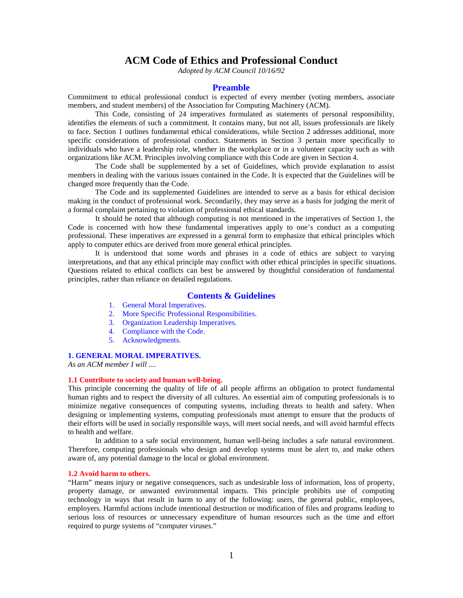# **ACM Code of Ethics and Professional Conduct**

*Adopted by ACM Council 10/16/92*

# **Preamble**

Commitment to ethical professional conduct is expected of every member (voting members, associate members, and student members) of the Association for Computing Machinery (ACM).

This Code, consisting of 24 imperatives formulated as statements of personal responsibility, identifies the elements of such a commitment. It contains many, but not all, issues professionals are likely to face. Section 1 outlines fundamental ethical considerations, while Section 2 addresses additional, more specific considerations of professional conduct. Statements in Section 3 pertain more specifically to individuals who have a leadership role, whether in the workplace or in a volunteer capacity such as with organizations like ACM. Principles involving compliance with this Code are given in Section 4.

The Code shall be supplemented by a set of Guidelines, which provide explanation to assist members in dealing with the various issues contained in the Code. It is expected that the Guidelines will be changed more frequently than the Code.

The Code and its supplemented Guidelines are intended to serve as a basis for ethical decision making in the conduct of professional work. Secondarily, they may serve as a basis for judging the merit of a formal complaint pertaining to violation of professional ethical standards.

It should be noted that although computing is not mentioned in the imperatives of Section 1, the Code is concerned with how these fundamental imperatives apply to one's conduct as a computing professional. These imperatives are expressed in a general form to emphasize that ethical principles which apply to computer ethics are derived from more general ethical principles.

It is understood that some words and phrases in a code of ethics are subject to varying interpretations, and that any ethical principle may conflict with other ethical principles in specific situations. Questions related to ethical conflicts can best be answered by thoughtful consideration of fundamental principles, rather than reliance on detailed regulations.

# **Contents & Guidelines**

- 1. General Moral Imperatives.
- 2. More Specific Professional Responsibilities.
- 3. Organization Leadership Imperatives.
- 4. Compliance with the Code.
- 5. Acknowledgments.

#### **1. GENERAL MORAL IMPERATIVES.**

*As an ACM member I will ....*

#### **1.1 Contribute to society and human well-being.**

This principle concerning the quality of life of all people affirms an obligation to protect fundamental human rights and to respect the diversity of all cultures. An essential aim of computing professionals is to minimize negative consequences of computing systems, including threats to health and safety. When designing or implementing systems, computing professionals must attempt to ensure that the products of their efforts will be used in socially responsible ways, will meet social needs, and will avoid harmful effects to health and welfare.

In addition to a safe social environment, human well-being includes a safe natural environment. Therefore, computing professionals who design and develop systems must be alert to, and make others aware of, any potential damage to the local or global environment.

#### **1.2 Avoid harm to others.**

"Harm" means injury or negative consequences, such as undesirable loss of information, loss of property, property damage, or unwanted environmental impacts. This principle prohibits use of computing technology in ways that result in harm to any of the following: users, the general public, employees, employers. Harmful actions include intentional destruction or modification of files and programs leading to serious loss of resources or unnecessary expenditure of human resources such as the time and effort required to purge systems of "computer viruses."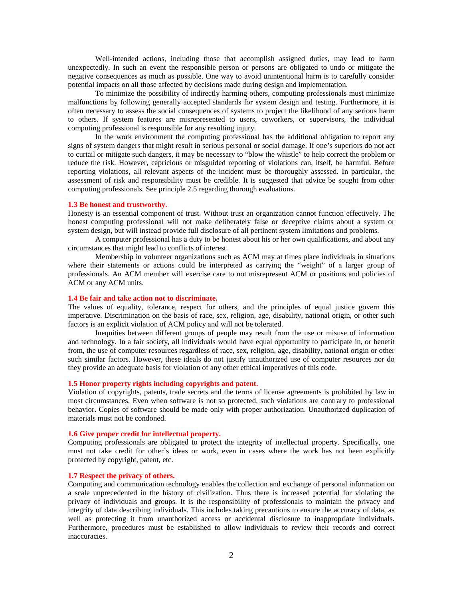Well-intended actions, including those that accomplish assigned duties, may lead to harm unexpectedly. In such an event the responsible person or persons are obligated to undo or mitigate the negative consequences as much as possible. One way to avoid unintentional harm is to carefully consider potential impacts on all those affected by decisions made during design and implementation.

To minimize the possibility of indirectly harming others, computing professionals must minimize malfunctions by following generally accepted standards for system design and testing. Furthermore, it is often necessary to assess the social consequences of systems to project the likelihood of any serious harm to others. If system features are misrepresented to users, coworkers, or supervisors, the individual computing professional is responsible for any resulting injury.

In the work environment the computing professional has the additional obligation to report any signs of system dangers that might result in serious personal or social damage. If one's superiors do not act to curtail or mitigate such dangers, it may be necessary to "blow the whistle" to help correct the problem or reduce the risk. However, capricious or misguided reporting of violations can, itself, be harmful. Before reporting violations, all relevant aspects of the incident must be thoroughly assessed. In particular, the assessment of risk and responsibility must be credible. It is suggested that advice be sought from other computing professionals. See principle 2.5 regarding thorough evaluations.

#### **1.3 Be honest and trustworthy.**

Honesty is an essential component of trust. Without trust an organization cannot function effectively. The honest computing professional will not make deliberately false or deceptive claims about a system or system design, but will instead provide full disclosure of all pertinent system limitations and problems.

A computer professional has a duty to be honest about his or her own qualifications, and about any circumstances that might lead to conflicts of interest.

Membership in volunteer organizations such as ACM may at times place individuals in situations where their statements or actions could be interpreted as carrying the "weight" of a larger group of professionals. An ACM member will exercise care to not misrepresent ACM or positions and policies of ACM or any ACM units.

#### **1.4 Be fair and take action not to discriminate.**

The values of equality, tolerance, respect for others, and the principles of equal justice govern this imperative. Discrimination on the basis of race, sex, religion, age, disability, national origin, or other such factors is an explicit violation of ACM policy and will not be tolerated.

Inequities between different groups of people may result from the use or misuse of information and technology. In a fair society, all individuals would have equal opportunity to participate in, or benefit from, the use of computer resources regardless of race, sex, religion, age, disability, national origin or other such similar factors. However, these ideals do not justify unauthorized use of computer resources nor do they provide an adequate basis for violation of any other ethical imperatives of this code.

# **1.5 Honor property rights including copyrights and patent.**

Violation of copyrights, patents, trade secrets and the terms of license agreements is prohibited by law in most circumstances. Even when software is not so protected, such violations are contrary to professional behavior. Copies of software should be made only with proper authorization. Unauthorized duplication of materials must not be condoned.

#### **1.6 Give proper credit for intellectual property.**

Computing professionals are obligated to protect the integrity of intellectual property. Specifically, one must not take credit for other's ideas or work, even in cases where the work has not been explicitly protected by copyright, patent, etc.

#### **1.7 Respect the privacy of others.**

Computing and communication technology enables the collection and exchange of personal information on a scale unprecedented in the history of civilization. Thus there is increased potential for violating the privacy of individuals and groups. It is the responsibility of professionals to maintain the privacy and integrity of data describing individuals. This includes taking precautions to ensure the accuracy of data, as well as protecting it from unauthorized access or accidental disclosure to inappropriate individuals. Furthermore, procedures must be established to allow individuals to review their records and correct inaccuracies.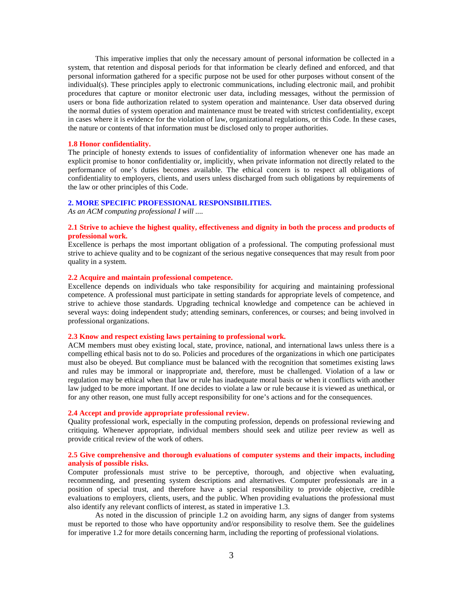This imperative implies that only the necessary amount of personal information be collected in a system, that retention and disposal periods for that information be clearly defined and enforced, and that personal information gathered for a specific purpose not be used for other purposes without consent of the individual(s). These principles apply to electronic communications, including electronic mail, and prohibit procedures that capture or monitor electronic user data, including messages, without the permission of users or bona fide authorization related to system operation and maintenance. User data observed during the normal duties of system operation and maintenance must be treated with strictest confidentiality, except in cases where it is evidence for the violation of law, organizational regulations, or this Code. In these cases, the nature or contents of that information must be disclosed only to proper authorities.

#### **1.8 Honor confidentiality.**

The principle of honesty extends to issues of confidentiality of information whenever one has made an explicit promise to honor confidentiality or, implicitly, when private information not directly related to the performance of one's duties becomes available. The ethical concern is to respect all obligations of confidentiality to employers, clients, and users unless discharged from such obligations by requirements of the law or other principles of this Code.

#### **2. MORE SPECIFIC PROFESSIONAL RESPONSIBILITIES.**

*As an ACM computing professional I will ....*

## **2.1 Strive to achieve the highest quality, effectiveness and dignity in both the process and products of professional work.**

Excellence is perhaps the most important obligation of a professional. The computing professional must strive to achieve quality and to be cognizant of the serious negative consequences that may result from poor quality in a system.

#### **2.2 Acquire and maintain professional competence.**

Excellence depends on individuals who take responsibility for acquiring and maintaining professional competence. A professional must participate in setting standards for appropriate levels of competence, and strive to achieve those standards. Upgrading technical knowledge and competence can be achieved in several ways: doing independent study; attending seminars, conferences, or courses; and being involved in professional organizations.

#### **2.3 Know and respect existing laws pertaining to professional work.**

ACM members must obey existing local, state, province, national, and international laws unless there is a compelling ethical basis not to do so. Policies and procedures of the organizations in which one participates must also be obeyed. But compliance must be balanced with the recognition that sometimes existing laws and rules may be immoral or inappropriate and, therefore, must be challenged. Violation of a law or regulation may be ethical when that law or rule has inadequate moral basis or when it conflicts with another law judged to be more important. If one decides to violate a law or rule because it is viewed as unethical, or for any other reason, one must fully accept responsibility for one's actions and for the consequences.

### **2.4 Accept and provide appropriate professional review.**

Quality professional work, especially in the computing profession, depends on professional reviewing and critiquing. Whenever appropriate, individual members should seek and utilize peer review as well as provide critical review of the work of others.

## **2.5 Give comprehensive and thorough evaluations of computer systems and their impacts, including analysis of possible risks.**

Computer professionals must strive to be perceptive, thorough, and objective when evaluating, recommending, and presenting system descriptions and alternatives. Computer professionals are in a position of special trust, and therefore have a special responsibility to provide objective, credible evaluations to employers, clients, users, and the public. When providing evaluations the professional must also identify any relevant conflicts of interest, as stated in imperative 1.3.

As noted in the discussion of principle 1.2 on avoiding harm, any signs of danger from systems must be reported to those who have opportunity and/or responsibility to resolve them. See the guidelines for imperative 1.2 for more details concerning harm, including the reporting of professional violations.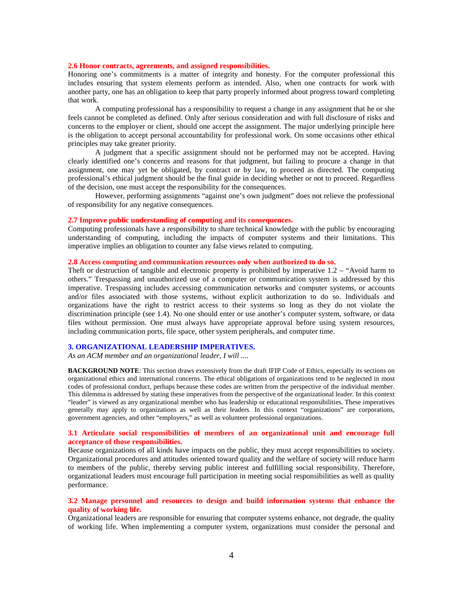#### **2.6 Honor contracts, agreements, and assigned responsibilities.**

Honoring one's commitments is a matter of integrity and honesty. For the computer professional this includes ensuring that system elements perform as intended. Also, when one contracts for work with another party, one has an obligation to keep that party properly informed about progress toward completing that work.

A computing professional has a responsibility to request a change in any assignment that he or she feels cannot be completed as defined. Only after serious consideration and with full disclosure of risks and concerns to the employer or client, should one accept the assignment. The major underlying principle here is the obligation to accept personal accountability for professional work. On some occasions other ethical principles may take greater priority.

A judgment that a specific assignment should not be performed may not be accepted. Having clearly identified one's concerns and reasons for that judgment, but failing to procure a change in that assignment, one may yet be obligated, by contract or by law, to proceed as directed. The computing professional's ethical judgment should be the final guide in deciding whether or not to proceed. Regardless of the decision, one must accept the responsibility for the consequences.

However, performing assignments "against one's own judgment" does not relieve the professional of responsibility for any negative consequences.

#### **2.7 Improve public understanding of computing and its consequences.**

Computing professionals have a responsibility to share technical knowledge with the public by encouraging understanding of computing, including the impacts of computer systems and their limitations. This imperative implies an obligation to counter any false views related to computing.

## **2.8 Access computing and communication resources only when authorized to do so.**

Theft or destruction of tangible and electronic property is prohibited by imperative 1.2 – "Avoid harm to others." Trespassing and unauthorized use of a computer or communication system is addressed by this imperative. Trespassing includes accessing communication networks and computer systems, or accounts and/or files associated with those systems, without explicit authorization to do so. Individuals and organizations have the right to restrict access to their systems so long as they do not violate the discrimination principle (see 1.4). No one should enter or use another's computer system, software, or data files without permission. One must always have appropriate approval before using system resources, including communication ports, file space, other system peripherals, and computer time.

#### **3. ORGANIZATIONAL LEADERSHIP IMPERATIVES.**

*As an ACM member and an organizational leader, I will ....*

**BACKGROUND NOTE:** This section draws extensively from the draft IFIP Code of Ethics, especially its sections on organizational ethics and international concerns. The ethical obligations of organizations tend to be neglected in most codes of professional conduct, perhaps because these codes are written from the perspective of the individual member. This dilemma is addressed by stating these imperatives from the perspective of the organizational leader. In this context "leader" is viewed as any organizational member who has leadership or educational responsibilities. These imperatives generally may apply to organizations as well as their leaders. In this context "organizations" are corporations, government agencies, and other "employers," as well as volunteer professional organizations.

## **3.1 Articulate social responsibilities of members of an organizational unit and encourage full acceptance of those responsibilities.**

Because organizations of all kinds have impacts on the public, they must accept responsibilities to society. Organizational procedures and attitudes oriented toward quality and the welfare of society will reduce harm to members of the public, thereby serving public interest and fulfilling social responsibility. Therefore, organizational leaders must encourage full participation in meeting social responsibilities as well as quality performance.

## **3.2 Manage personnel and resources to design and build information systems that enhance the quality of working life.**

Organizational leaders are responsible for ensuring that computer systems enhance, not degrade, the quality of working life. When implementing a computer system, organizations must consider the personal and